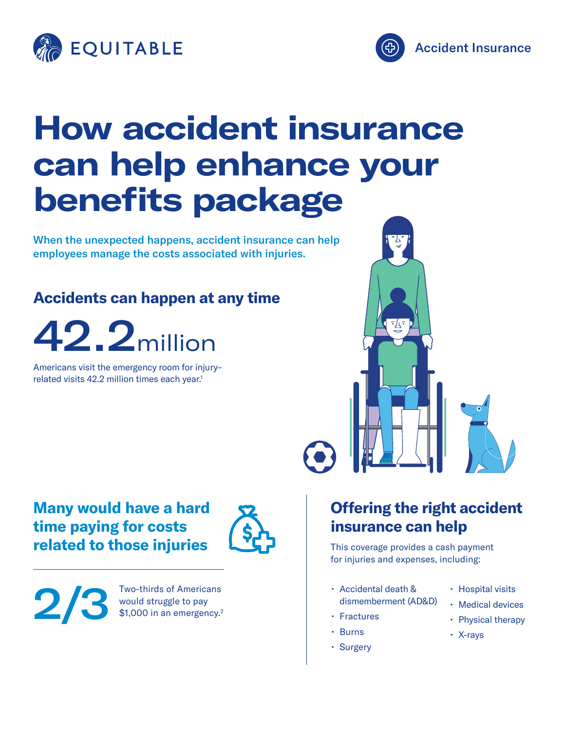



## **How accident insurance can help enhance your benefits package**

When the unexpected happens, accident insurance can help employees manage the costs associated with injuries.

## **Accidents can happen at any time**

## 42.2million

Americans visit the emergency room for injury– related visits 42.2 million times each year.<sup>1</sup>



### **Many would have a hard time paying for costs related to those injuries**



2/3

Two-thirds of Americans would struggle to pay \$1,000 in an emergency.<sup>2</sup>

## **Offering the right accident insurance can help**

This coverage provides a cash payment for injuries and expenses, including:

- Accidental death & dismemberment (AD&D)
- Fractures
- Burns
- Surgery
- Hospital visits
- Medical devices
- Physical therapy
- X-rays